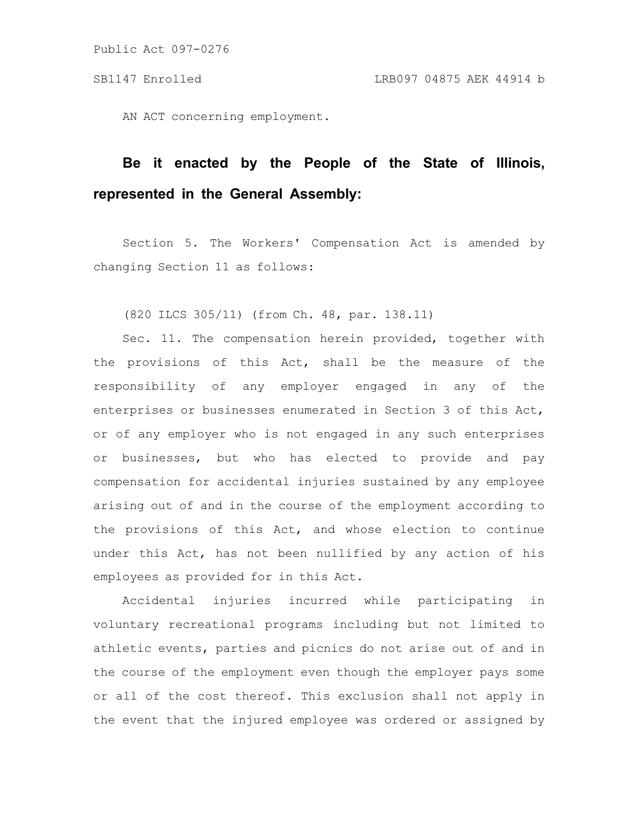AN ACT concerning employment.

## **Be it enacted by the People of the State of Illinois, represented in the General Assembly:**

Section 5. The Workers' Compensation Act is amended by changing Section 11 as follows:

(820 ILCS 305/11) (from Ch. 48, par. 138.11)

Sec. 11. The compensation herein provided, together with the provisions of this Act, shall be the measure of the responsibility of any employer engaged in any of the enterprises or businesses enumerated in Section 3 of this Act, or of any employer who is not engaged in any such enterprises or businesses, but who has elected to provide and pay compensation for accidental injuries sustained by any employee arising out of and in the course of the employment according to the provisions of this Act, and whose election to continue under this Act, has not been nullified by any action of his employees as provided for in this Act.

Accidental injuries incurred while participating in voluntary recreational programs including but not limited to athletic events, parties and picnics do not arise out of and in the course of the employment even though the employer pays some or all of the cost thereof. This exclusion shall not apply in the event that the injured employee was ordered or assigned by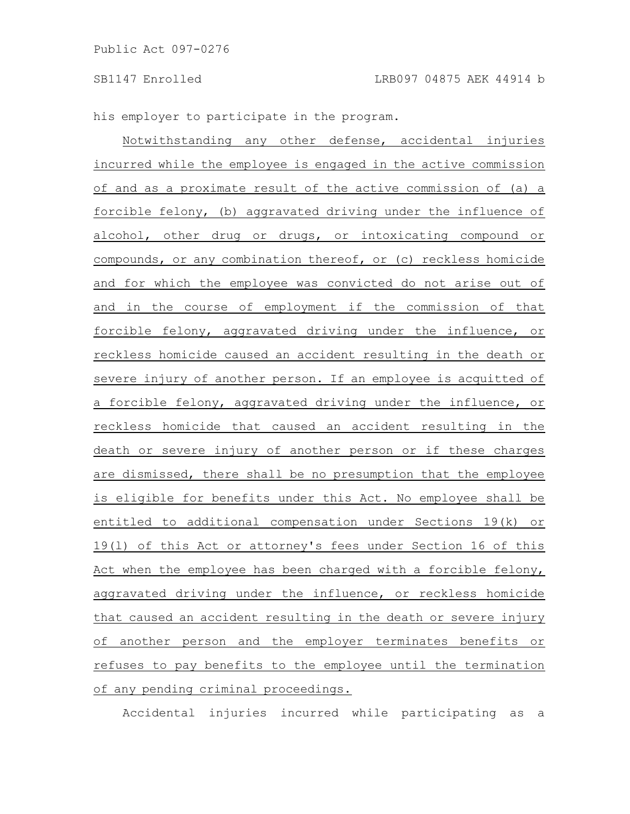his employer to participate in the program.

Notwithstanding any other defense, accidental injuries incurred while the employee is engaged in the active commission of and as a proximate result of the active commission of (a) a forcible felony, (b) aggravated driving under the influence of alcohol, other drug or drugs, or intoxicating compound or compounds, or any combination thereof, or (c) reckless homicide and for which the employee was convicted do not arise out of and in the course of employment if the commission of that forcible felony, aggravated driving under the influence, or reckless homicide caused an accident resulting in the death or severe injury of another person. If an employee is acquitted of a forcible felony, aggravated driving under the influence, or reckless homicide that caused an accident resulting in the death or severe injury of another person or if these charges are dismissed, there shall be no presumption that the employee is eligible for benefits under this Act. No employee shall be entitled to additional compensation under Sections 19(k) or 19(l) of this Act or attorney's fees under Section 16 of this Act when the employee has been charged with a forcible felony, aggravated driving under the influence, or reckless homicide that caused an accident resulting in the death or severe injury of another person and the employer terminates benefits or refuses to pay benefits to the employee until the termination of any pending criminal proceedings.

Accidental injuries incurred while participating as a